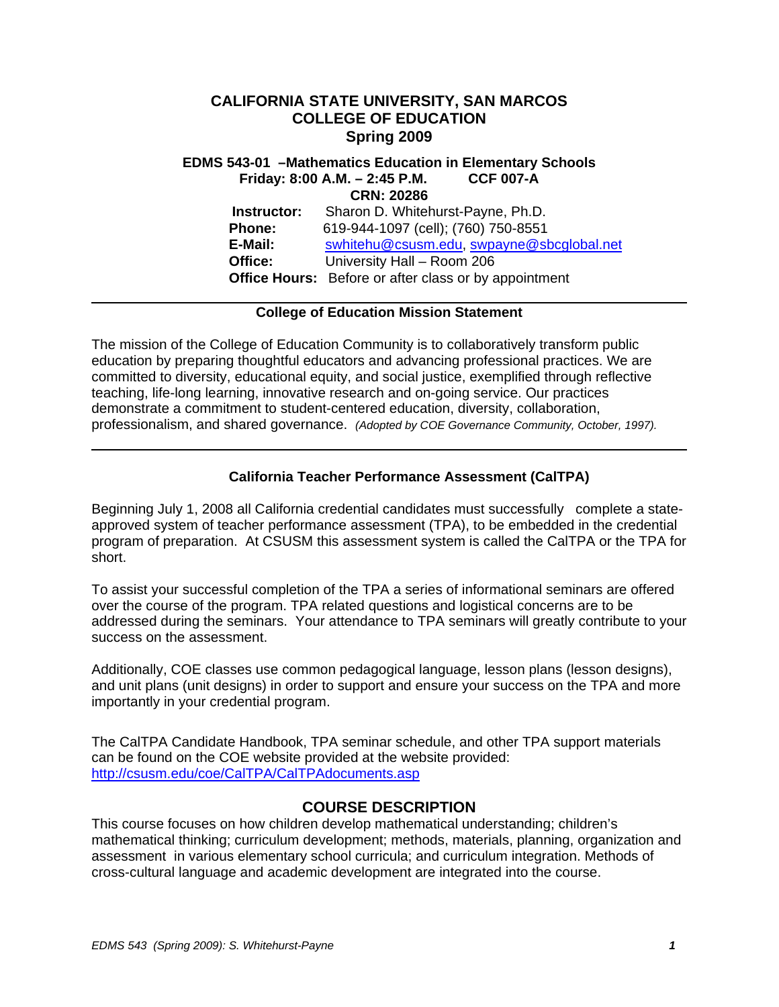# **CALIFORNIA STATE UNIVERSITY, SAN MARCOS COLLEGE OF EDUCATION Spring 2009**

 **E-Mail:** swhitehu@csusm.edu, swpayne@sbcglobal.net Office:  **Office Hours:** Before or after class or by appointment **EDMS 543-01 –Mathematics Education in Elementary Schools Friday: 8:00 A.M. – 2:45 P.M. CCF 007-A CRN: 20286 Instructor:** Sharon D. Whitehurst-Payne, Ph.D. **Phone:** 619-944-1097 (cell); (760) 750-8551 **Office:** University Hall – Room 206

#### **College of Education Mission Statement**

The mission of the College of Education Community is to collaboratively transform public education by preparing thoughtful educators and advancing professional practices. We are committed to diversity, educational equity, and social justice, exemplified through reflective teaching, life-long learning, innovative research and on-going service. Our practices demonstrate a commitment to student-centered education, diversity, collaboration, professionalism, and shared governance. *(Adopted by COE Governance Community, October, 1997).* 

# **California Teacher Performance Assessment (CalTPA)**

Beginning July 1, 2008 all California credential candidates must successfully complete a stateapproved system of teacher performance assessment (TPA), to be embedded in the credential program of preparation. At CSUSM this assessment system is called the CalTPA or the TPA for short.

To assist your successful completion of the TPA a series of informational seminars are offered over the course of the program. TPA related questions and logistical concerns are to be addressed during the seminars. Your attendance to TPA seminars will greatly contribute to your success on the assessment.

Additionally, COE classes use common pedagogical language, lesson plans (lesson designs), and unit plans (unit designs) in order to support and ensure your success on the TPA and more importantly in your credential program.

The CalTPA Candidate Handbook, TPA seminar schedule, and other TPA support materials can be found on the COE website provided at the website provided: http://csusm.edu/coe/CalTPA/CalTPAdocuments.asp

### **COURSE DESCRIPTION**

This course focuses on how children develop mathematical understanding; children's mathematical thinking; curriculum development; methods, materials, planning, organization and assessment in various elementary school curricula; and curriculum integration. Methods of cross-cultural language and academic development are integrated into the course.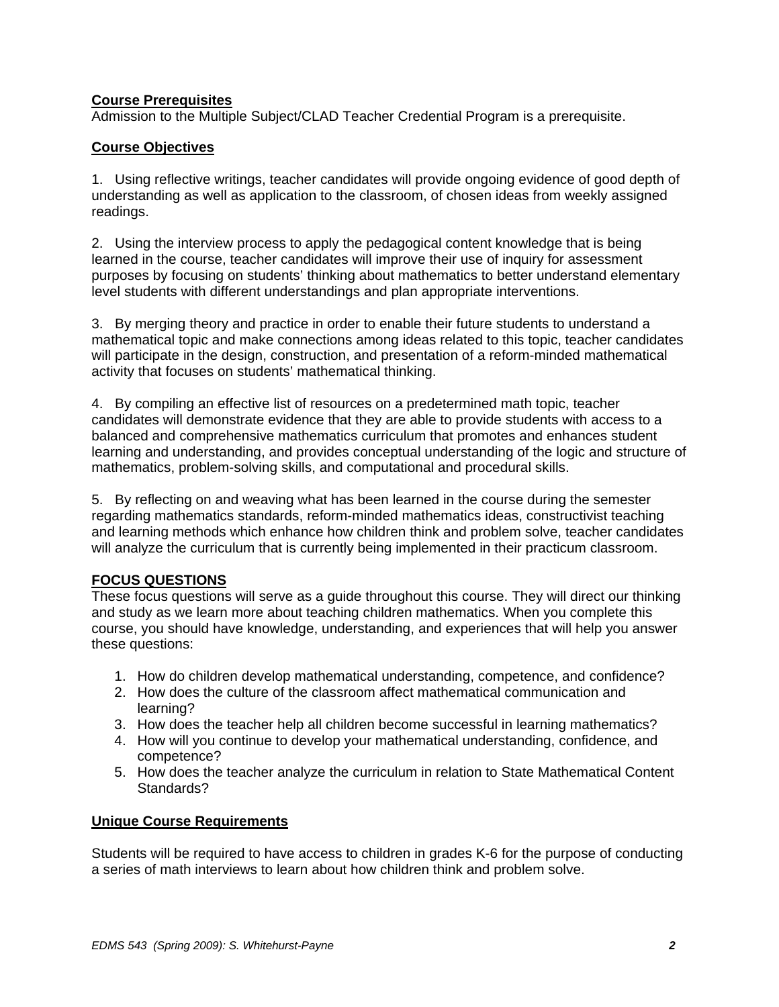# **Course Prerequisites**

Admission to the Multiple Subject/CLAD Teacher Credential Program is a prerequisite.

# **Course Objectives**

1. Using reflective writings, teacher candidates will provide ongoing evidence of good depth of understanding as well as application to the classroom, of chosen ideas from weekly assigned readings.

2. Using the interview process to apply the pedagogical content knowledge that is being learned in the course, teacher candidates will improve their use of inquiry for assessment purposes by focusing on students' thinking about mathematics to better understand elementary level students with different understandings and plan appropriate interventions.

3. By merging theory and practice in order to enable their future students to understand a mathematical topic and make connections among ideas related to this topic, teacher candidates will participate in the design, construction, and presentation of a reform-minded mathematical activity that focuses on students' mathematical thinking.

4. By compiling an effective list of resources on a predetermined math topic, teacher candidates will demonstrate evidence that they are able to provide students with access to a balanced and comprehensive mathematics curriculum that promotes and enhances student learning and understanding, and provides conceptual understanding of the logic and structure of mathematics, problem-solving skills, and computational and procedural skills.

5. By reflecting on and weaving what has been learned in the course during the semester regarding mathematics standards, reform-minded mathematics ideas, constructivist teaching and learning methods which enhance how children think and problem solve, teacher candidates will analyze the curriculum that is currently being implemented in their practicum classroom.

### **FOCUS QUESTIONS**

These focus questions will serve as a guide throughout this course. They will direct our thinking and study as we learn more about teaching children mathematics. When you complete this course, you should have knowledge, understanding, and experiences that will help you answer these questions:

- 1. How do children develop mathematical understanding, competence, and confidence?
- 2. How does the culture of the classroom affect mathematical communication and learning?
- 3. How does the teacher help all children become successful in learning mathematics?
- 4. How will you continue to develop your mathematical understanding, confidence, and competence?
- 5. How does the teacher analyze the curriculum in relation to State Mathematical Content Standards?

# **Unique Course Requirements**

Students will be required to have access to children in grades K-6 for the purpose of conducting a series of math interviews to learn about how children think and problem solve.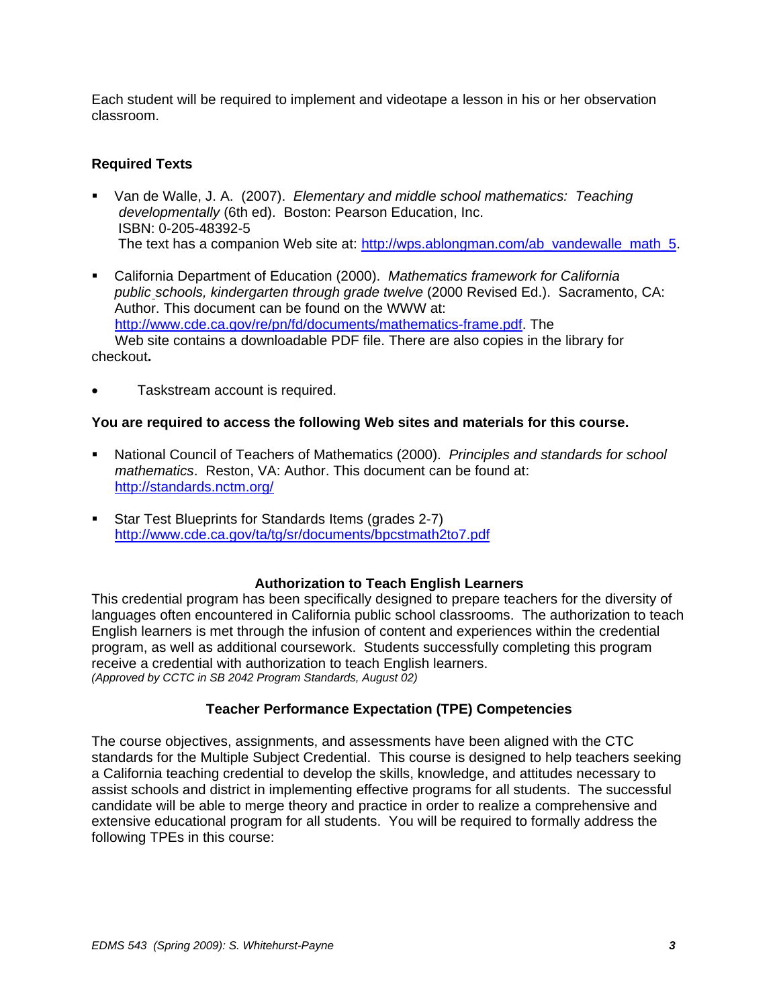Each student will be required to implement and videotape a lesson in his or her observation classroom.

### **Required Texts**

- Van de Walle, J. A. (2007). *Elementary and middle school mathematics: Teaching developmentally* (6th ed). Boston: Pearson Education, Inc. ISBN: 0-205-48392-5 The text has a companion Web site at: http://wps.ablongman.com/ab\_vandewalle\_math\_5.
- California Department of Education (2000). *Mathematics framework for California public schools, kindergarten through grade twelve* (2000 Revised Ed.). Sacramento, CA: Author. This document can be found on the WWW at: http://www.cde.ca.gov/re/pn/fd/documents/mathematics-frame.pdf. The Web site contains a downloadable PDF file. There are also copies in the library for checkout**.**
- Taskstream account is required.

### **You are required to access the following Web sites and materials for this course.**

- National Council of Teachers of Mathematics (2000). *Principles and standards for school mathematics*. Reston, VA: Author. This document can be found at: http://standards.nctm.org/
- Star Test Blueprints for Standards Items (grades 2-7) http://www.cde.ca.gov/ta/tg/sr/documents/bpcstmath2to7.pdf

### **Authorization to Teach English Learners**

This credential program has been specifically designed to prepare teachers for the diversity of languages often encountered in California public school classrooms. The authorization to teach English learners is met through the infusion of content and experiences within the credential program, as well as additional coursework. Students successfully completing this program receive a credential with authorization to teach English learners. *(Approved by CCTC in SB 2042 Program Standards, August 02)* 

### **Teacher Performance Expectation (TPE) Competencies**

The course objectives, assignments, and assessments have been aligned with the CTC standards for the Multiple Subject Credential. This course is designed to help teachers seeking a California teaching credential to develop the skills, knowledge, and attitudes necessary to assist schools and district in implementing effective programs for all students. The successful candidate will be able to merge theory and practice in order to realize a comprehensive and extensive educational program for all students. You will be required to formally address the following TPEs in this course: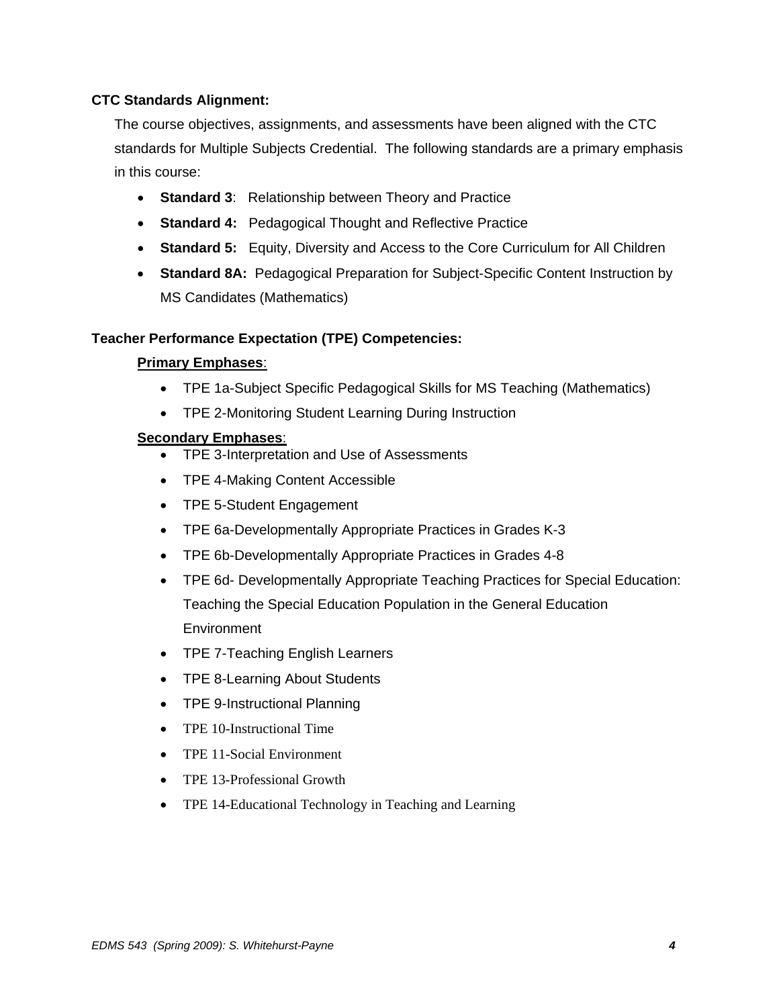### **CTC Standards Alignment:**

The course objectives, assignments, and assessments have been aligned with the CTC standards for Multiple Subjects Credential. The following standards are a primary emphasis in this course:

- • **Standard 3**: Relationship between Theory and Practice
- • **Standard 4:** Pedagogical Thought and Reflective Practice
- **Standard 5:** Equity, Diversity and Access to the Core Curriculum for All Children
- • **Standard 8A:** Pedagogical Preparation for Subject-Specific Content Instruction by MS Candidates (Mathematics)

#### **Teacher Performance Expectation (TPE) Competencies:**

#### **Primary Emphases**:

- TPE 1a-Subject Specific Pedagogical Skills for MS Teaching (Mathematics)
- TPE 2-Monitoring Student Learning During Instruction

#### **Secondary Emphases**:

- • TPE 3-Interpretation and Use of Assessments
- TPE 4-Making Content Accessible
- TPE 5-Student Engagement
- TPE 6a-Developmentally Appropriate Practices in Grades K-3
- TPE 6b-Developmentally Appropriate Practices in Grades 4-8
- TPE 6d- Developmentally Appropriate Teaching Practices for Special Education: Teaching the Special Education Population in the General Education **Environment**
- TPE 7-Teaching English Learners
- TPE 8-Learning About Students
- TPE 9-Instructional Planning
- TPE 10-Instructional Time
- TPE 11-Social Environment
- TPE 13-Professional Growth
- TPE 14-Educational Technology in Teaching and Learning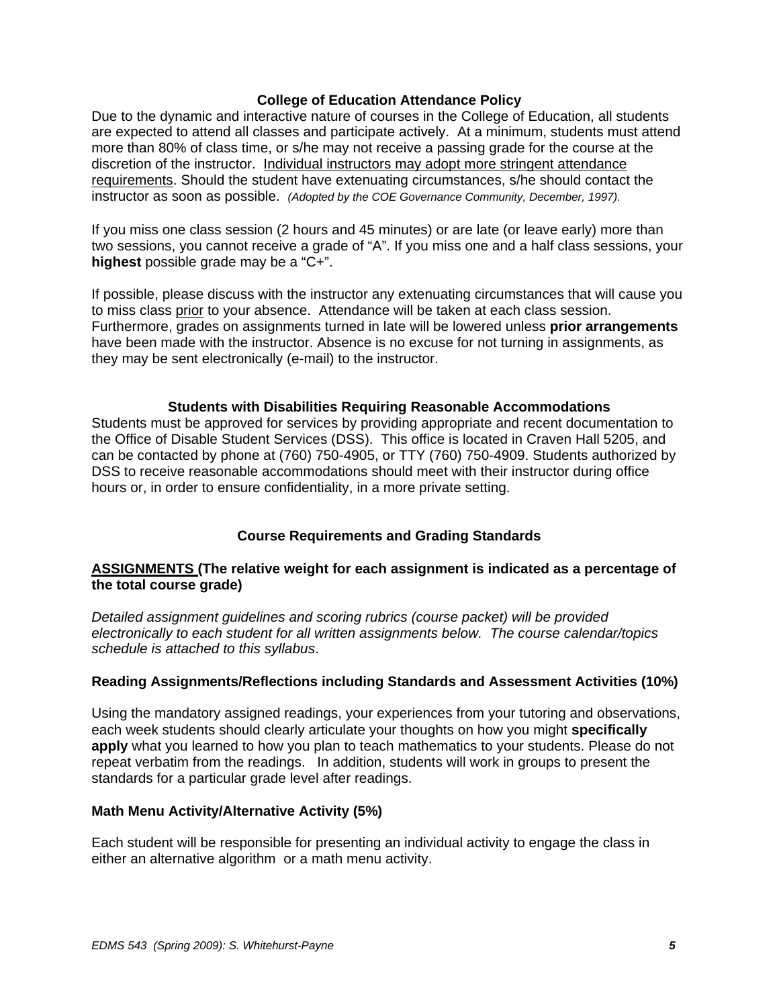#### **College of Education Attendance Policy**

 instructor as soon as possible. *(Adopted by the COE Governance Community, December, 1997).* Due to the dynamic and interactive nature of courses in the College of Education, all students are expected to attend all classes and participate actively. At a minimum, students must attend more than 80% of class time, or s/he may not receive a passing grade for the course at the discretion of the instructor. Individual instructors may adopt more stringent attendance requirements. Should the student have extenuating circumstances, s/he should contact the

If you miss one class session (2 hours and 45 minutes) or are late (or leave early) more than two sessions, you cannot receive a grade of "A". If you miss one and a half class sessions, your **highest** possible grade may be a "C+".

If possible, please discuss with the instructor any extenuating circumstances that will cause you to miss class prior to your absence. Attendance will be taken at each class session. Furthermore, grades on assignments turned in late will be lowered unless **prior arrangements**  have been made with the instructor. Absence is no excuse for not turning in assignments, as they may be sent electronically (e-mail) to the instructor.

#### **Students with Disabilities Requiring Reasonable Accommodations**

Students must be approved for services by providing appropriate and recent documentation to the Office of Disable Student Services (DSS). This office is located in Craven Hall 5205, and can be contacted by phone at (760) 750-4905, or TTY (760) 750-4909. Students authorized by DSS to receive reasonable accommodations should meet with their instructor during office hours or, in order to ensure confidentiality, in a more private setting.

### **Course Requirements and Grading Standards**

### **ASSIGNMENTS (The relative weight for each assignment is indicated as a percentage of the total course grade)**

*Detailed assignment guidelines and scoring rubrics (course packet) will be provided electronically to each student for all written assignments below. The course calendar/topics schedule is attached to this syllabus*.

### **Reading Assignments/Reflections including Standards and Assessment Activities (10%)**

Using the mandatory assigned readings, your experiences from your tutoring and observations, each week students should clearly articulate your thoughts on how you might **specifically apply** what you learned to how you plan to teach mathematics to your students. Please do not repeat verbatim from the readings. In addition, students will work in groups to present the standards for a particular grade level after readings.

#### **Math Menu Activity/Alternative Activity (5%)**

Each student will be responsible for presenting an individual activity to engage the class in either an alternative algorithm or a math menu activity.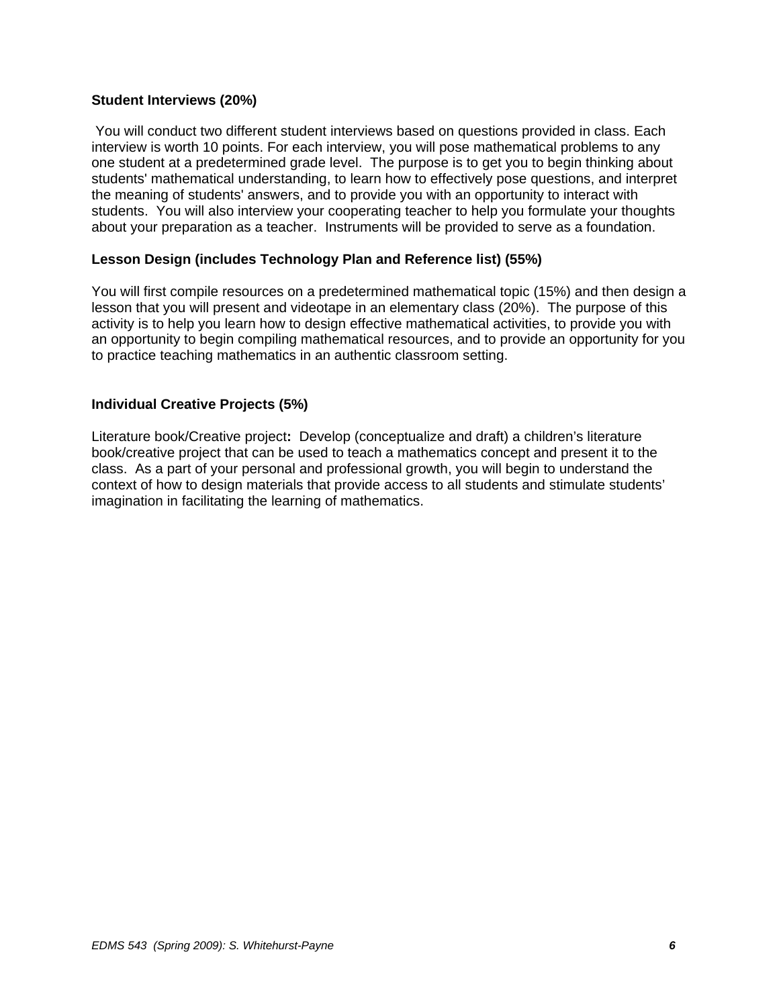#### **Student Interviews (20%)**

You will conduct two different student interviews based on questions provided in class. Each interview is worth 10 points. For each interview, you will pose mathematical problems to any one student at a predetermined grade level. The purpose is to get you to begin thinking about students' mathematical understanding, to learn how to effectively pose questions, and interpret the meaning of students' answers, and to provide you with an opportunity to interact with students. You will also interview your cooperating teacher to help you formulate your thoughts about your preparation as a teacher. Instruments will be provided to serve as a foundation.

### **Lesson Design (includes Technology Plan and Reference list) (55%)**

You will first compile resources on a predetermined mathematical topic (15%) and then design a lesson that you will present and videotape in an elementary class (20%). The purpose of this activity is to help you learn how to design effective mathematical activities, to provide you with an opportunity to begin compiling mathematical resources, and to provide an opportunity for you to practice teaching mathematics in an authentic classroom setting.

#### **Individual Creative Projects (5%)**

Literature book/Creative project**:** Develop (conceptualize and draft) a children's literature book/creative project that can be used to teach a mathematics concept and present it to the class. As a part of your personal and professional growth, you will begin to understand the context of how to design materials that provide access to all students and stimulate students' imagination in facilitating the learning of mathematics.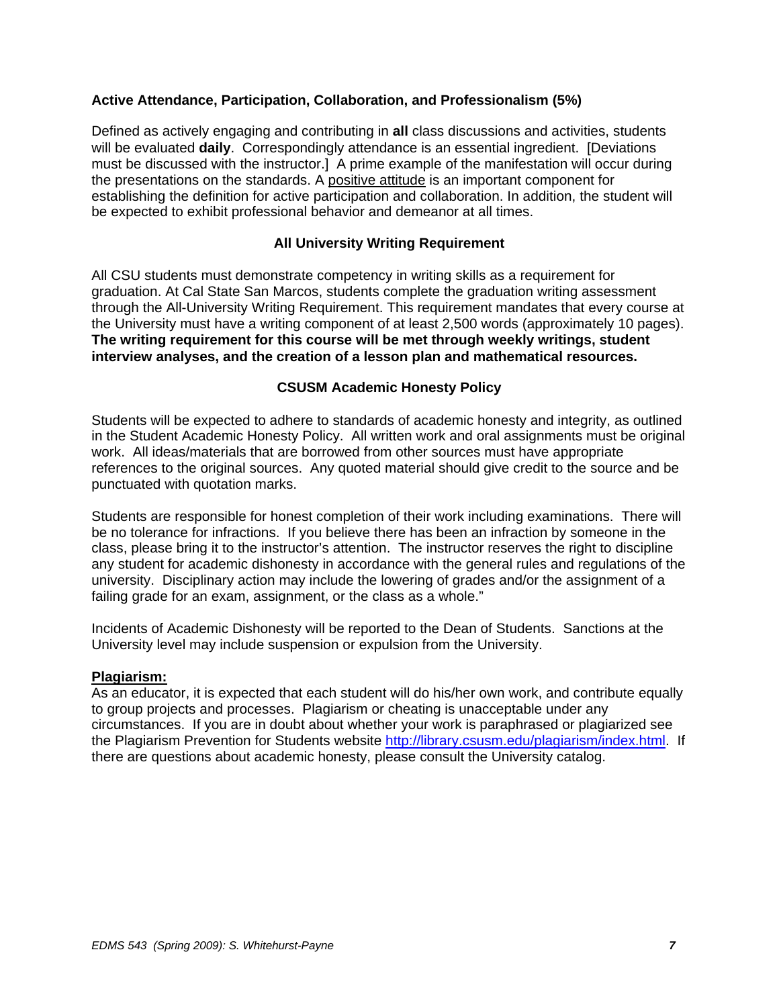### **Active Attendance, Participation, Collaboration, and Professionalism (5%)**

Defined as actively engaging and contributing in **all** class discussions and activities, students will be evaluated **daily**. Correspondingly attendance is an essential ingredient. [Deviations must be discussed with the instructor.] A prime example of the manifestation will occur during the presentations on the standards. A positive attitude is an important component for establishing the definition for active participation and collaboration. In addition, the student will be expected to exhibit professional behavior and demeanor at all times.

#### **All University Writing Requirement**

All CSU students must demonstrate competency in writing skills as a requirement for graduation. At Cal State San Marcos, students complete the graduation writing assessment through the All-University Writing Requirement. This requirement mandates that every course at the University must have a writing component of at least 2,500 words (approximately 10 pages). **The writing requirement for this course will be met through weekly writings, student interview analyses, and the creation of a lesson plan and mathematical resources.** 

#### **CSUSM Academic Honesty Policy**

Students will be expected to adhere to standards of academic honesty and integrity, as outlined in the Student Academic Honesty Policy. All written work and oral assignments must be original work. All ideas/materials that are borrowed from other sources must have appropriate references to the original sources. Any quoted material should give credit to the source and be punctuated with quotation marks.

Students are responsible for honest completion of their work including examinations. There will be no tolerance for infractions. If you believe there has been an infraction by someone in the class, please bring it to the instructor's attention. The instructor reserves the right to discipline any student for academic dishonesty in accordance with the general rules and regulations of the university. Disciplinary action may include the lowering of grades and/or the assignment of a failing grade for an exam, assignment, or the class as a whole."

Incidents of Academic Dishonesty will be reported to the Dean of Students. Sanctions at the University level may include suspension or expulsion from the University.

#### **Plagiarism:**

As an educator, it is expected that each student will do his/her own work, and contribute equally to group projects and processes. Plagiarism or cheating is unacceptable under any circumstances. If you are in doubt about whether your work is paraphrased or plagiarized see the Plagiarism Prevention for Students website http://library.csusm.edu/plagiarism/index.html. If there are questions about academic honesty, please consult the University catalog.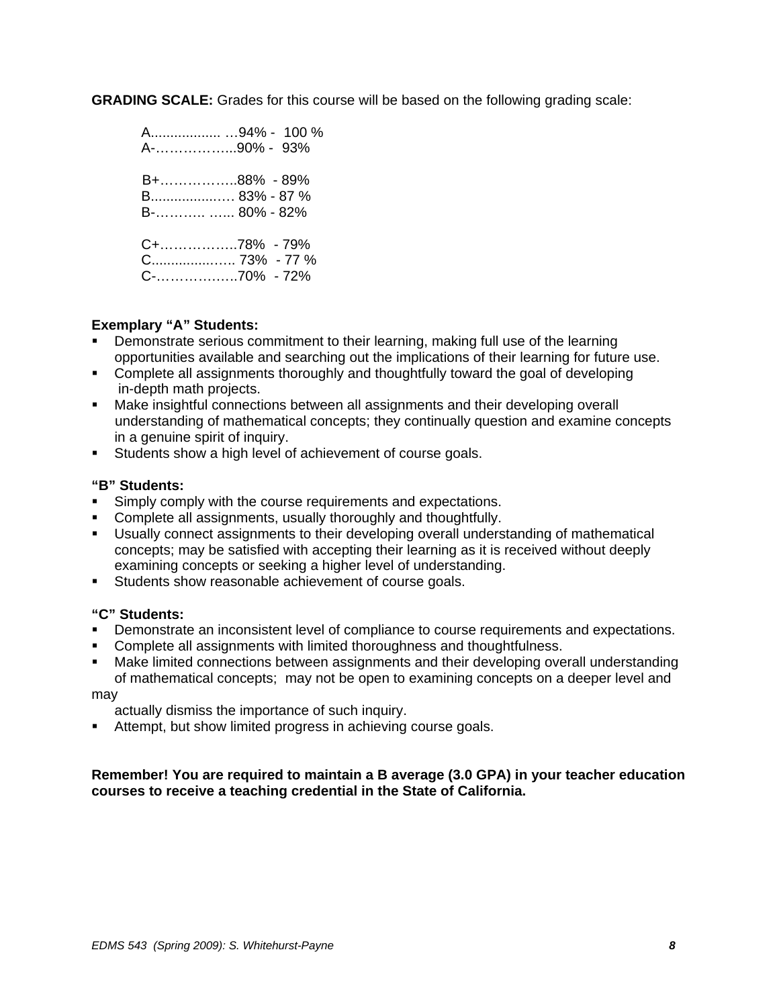**GRADING SCALE:** Grades for this course will be based on the following grading scale:

|               | A94% - 100 % |
|---------------|--------------|
| A-90% - 93%   |              |
| B+88% - 89%   |              |
|               |              |
| B 83% - 87 %  |              |
| B-  80% - 82% |              |
|               |              |
| C+78% - 79%   |              |
|               |              |
| C-70% - 72%   |              |
|               |              |

### **Exemplary "A" Students:**

- Demonstrate serious commitment to their learning, making full use of the learning opportunities available and searching out the implications of their learning for future use.
- Complete all assignments thoroughly and thoughtfully toward the goal of developing in-depth math projects.
- Make insightful connections between all assignments and their developing overall understanding of mathematical concepts; they continually question and examine concepts in a genuine spirit of inquiry.
- Students show a high level of achievement of course goals.

#### **"B" Students:**

- **Simply comply with the course requirements and expectations.**
- Complete all assignments, usually thoroughly and thoughtfully.
- Usually connect assignments to their developing overall understanding of mathematical concepts; may be satisfied with accepting their learning as it is received without deeply examining concepts or seeking a higher level of understanding.
- **Students show reasonable achievement of course goals.**

#### **"C" Students:**

- **•** Demonstrate an inconsistent level of compliance to course requirements and expectations.
- **EXECOMPLETE A.1 Asset Inc.** The limited thoroughness and thoughtfulness.
- Make limited connections between assignments and their developing overall understanding of mathematical concepts; may not be open to examining concepts on a deeper level and

may

actually dismiss the importance of such inquiry.

 Attempt, but show limited progress in achieving course goals.

#### **Remember! You are required to maintain a B average (3.0 GPA) in your teacher education courses to receive a teaching credential in the State of California.**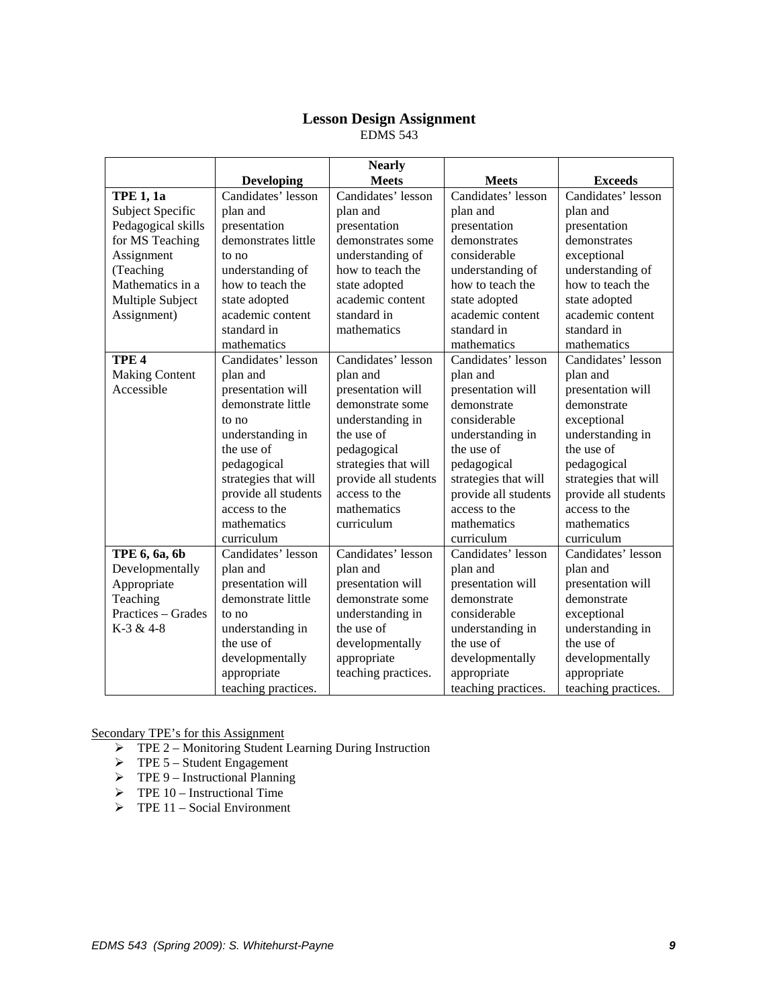#### **Lesson Design Assignment**  EDMS 543

|                       |                      | <b>Nearly</b>        |                      |                      |
|-----------------------|----------------------|----------------------|----------------------|----------------------|
|                       | <b>Developing</b>    | <b>Meets</b>         | <b>Meets</b>         | <b>Exceeds</b>       |
| <b>TPE 1, 1a</b>      | Candidates' lesson   | Candidates' lesson   | Candidates' lesson   | Candidates' lesson   |
| Subject Specific      | plan and             | plan and             | plan and             | plan and             |
| Pedagogical skills    | presentation         | presentation         | presentation         | presentation         |
| for MS Teaching       | demonstrates little  | demonstrates some    | demonstrates         | demonstrates         |
| Assignment            | to no                | understanding of     | considerable         | exceptional          |
| (Teaching             | understanding of     | how to teach the     | understanding of     | understanding of     |
| Mathematics in a      | how to teach the     | state adopted        | how to teach the     | how to teach the     |
| Multiple Subject      | state adopted        | academic content     | state adopted        | state adopted        |
| Assignment)           | academic content     | standard in          | academic content     | academic content     |
|                       | standard in          | mathematics          | standard in          | standard in          |
|                       | mathematics          |                      | mathematics          | mathematics          |
| TPE <sub>4</sub>      | Candidates' lesson   | Candidates' lesson   | Candidates' lesson   | Candidates' lesson   |
| <b>Making Content</b> | plan and             | plan and             | plan and             | plan and             |
| Accessible            | presentation will    | presentation will    | presentation will    | presentation will    |
|                       | demonstrate little   | demonstrate some     | demonstrate          | demonstrate          |
|                       | to no                | understanding in     | considerable         | exceptional          |
|                       | understanding in     | the use of           | understanding in     | understanding in     |
|                       | the use of           | pedagogical          | the use of           | the use of           |
|                       | pedagogical          | strategies that will | pedagogical          | pedagogical          |
|                       | strategies that will | provide all students | strategies that will | strategies that will |
|                       | provide all students | access to the        | provide all students | provide all students |
|                       | access to the        | mathematics          | access to the        | access to the        |
|                       | mathematics          | curriculum           | mathematics          | mathematics          |
|                       | curriculum           |                      | curriculum           | curriculum           |
| TPE 6, 6a, 6b         | Candidates' lesson   | Candidates' lesson   | Candidates' lesson   | Candidates' lesson   |
| Developmentally       | plan and             | plan and             | plan and             | plan and             |
| Appropriate           | presentation will    | presentation will    | presentation will    | presentation will    |
| Teaching              | demonstrate little   | demonstrate some     | demonstrate          | demonstrate          |
| Practices - Grades    | to no                | understanding in     | considerable         | exceptional          |
| K-3 & 4-8             | understanding in     | the use of           | understanding in     | understanding in     |
|                       | the use of           | developmentally      | the use of           | the use of           |
|                       | developmentally      | appropriate          | developmentally      | developmentally      |
|                       | appropriate          | teaching practices.  | appropriate          | appropriate          |
|                       | teaching practices.  |                      | teaching practices.  | teaching practices.  |

Secondary TPE's for this Assignment

- ¾ TPE 2 Monitoring Student Learning During Instruction
- $\triangleright$  TPE 5 Student Engagement
- $\triangleright$  TPE 9 Instructional Planning
- $\triangleright$  TPE 10 Instructional Time
- $\triangleright$  TPE 11 Social Environment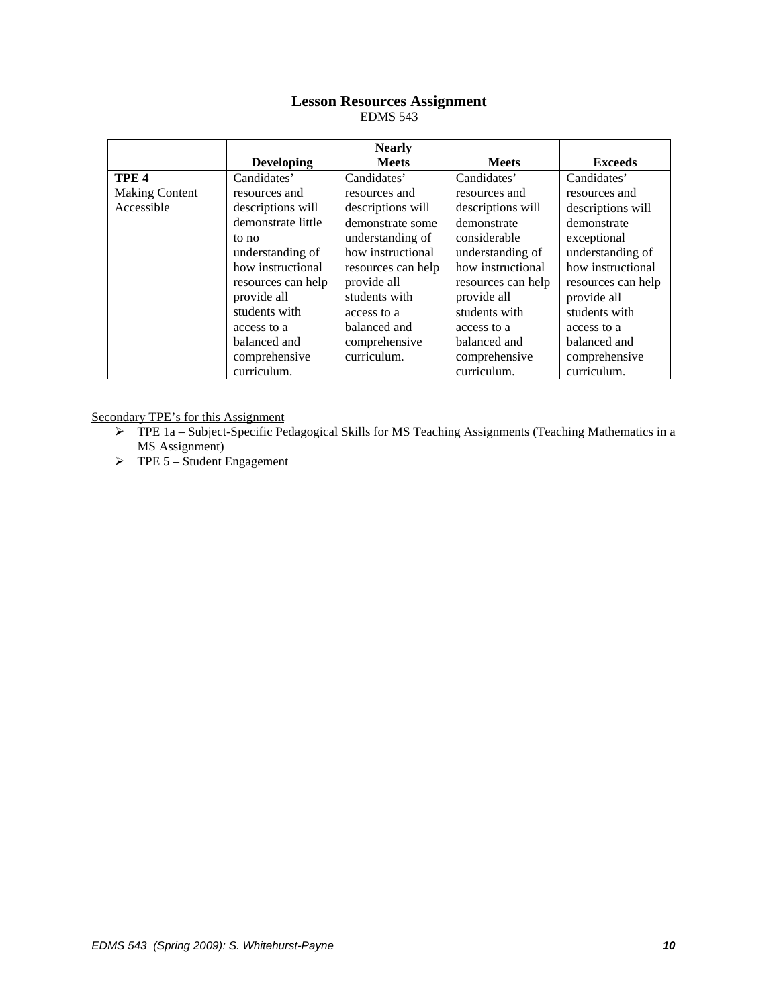# **Lesson Resources Assignment**

EDMS 543

|                       |                    | <b>Nearly</b>      |                    |                    |
|-----------------------|--------------------|--------------------|--------------------|--------------------|
|                       | <b>Developing</b>  | <b>Meets</b>       | <b>Meets</b>       | <b>Exceeds</b>     |
| TPE <sub>4</sub>      | Candidates'        | Candidates'        | Candidates'        | Candidates'        |
| <b>Making Content</b> | resources and      | resources and      | resources and      | resources and      |
| Accessible            | descriptions will  | descriptions will  | descriptions will  | descriptions will  |
|                       | demonstrate little | demonstrate some   | demonstrate        | demonstrate        |
|                       | to no              | understanding of   | considerable       | exceptional        |
|                       | understanding of   | how instructional  | understanding of   | understanding of   |
|                       | how instructional  | resources can help | how instructional  | how instructional  |
|                       | resources can help | provide all        | resources can help | resources can help |
|                       | provide all        | students with      | provide all        | provide all        |
|                       | students with      | access to a        | students with      | students with      |
|                       | access to a        | balanced and       | access to a        | access to a        |
|                       | balanced and       | comprehensive      | balanced and       | balanced and       |
|                       | comprehensive      | curriculum.        | comprehensive      | comprehensive      |
|                       | curriculum.        |                    | curriculum.        | curriculum.        |

Secondary TPE's for this Assignment

- ¾ TPE 1a Subject-Specific Pedagogical Skills for MS Teaching Assignments (Teaching Mathematics in a MS Assignment)
- $\triangleright$  TPE 5 Student Engagement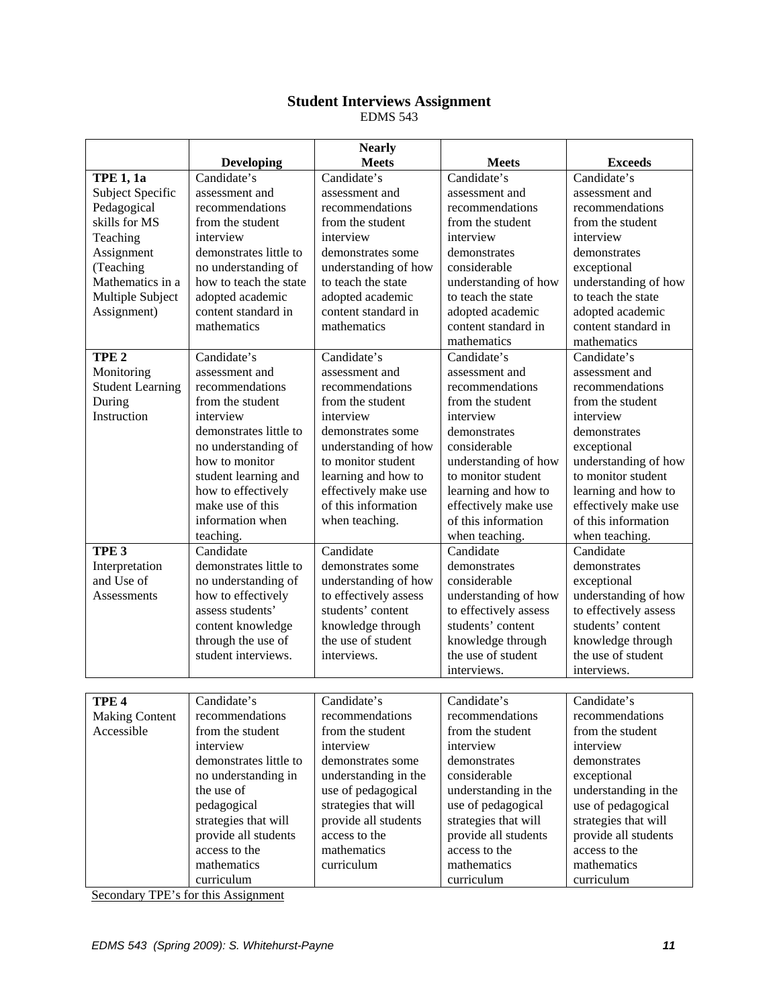# **Student Interviews Assignment**

EDMS 543

|                         |                        | <b>Nearly</b>         |                       |                       |
|-------------------------|------------------------|-----------------------|-----------------------|-----------------------|
|                         | <b>Developing</b>      | <b>Meets</b>          | <b>Meets</b>          | <b>Exceeds</b>        |
| <b>TPE 1, 1a</b>        | Candidate's            | Candidate's           | Candidate's           | Candidate's           |
| Subject Specific        | assessment and         | assessment and        | assessment and        | assessment and        |
| Pedagogical             | recommendations        | recommendations       | recommendations       | recommendations       |
| skills for MS           | from the student       | from the student      | from the student      | from the student      |
| Teaching                | interview              | interview             | interview             | interview             |
| Assignment              | demonstrates little to | demonstrates some     | demonstrates          | demonstrates          |
| (Teaching               | no understanding of    | understanding of how  | considerable          | exceptional           |
| Mathematics in a        | how to teach the state | to teach the state    | understanding of how  | understanding of how  |
| Multiple Subject        | adopted academic       | adopted academic      | to teach the state    | to teach the state    |
| Assignment)             | content standard in    | content standard in   | adopted academic      | adopted academic      |
|                         | mathematics            | mathematics           | content standard in   | content standard in   |
|                         |                        |                       | mathematics           | mathematics           |
| TPE <sub>2</sub>        | Candidate's            | Candidate's           | Candidate's           | Candidate's           |
| Monitoring              | assessment and         | assessment and        | assessment and        | assessment and        |
| <b>Student Learning</b> | recommendations        | recommendations       | recommendations       | recommendations       |
| During                  | from the student       | from the student      | from the student      | from the student      |
| Instruction             | interview              | interview             | interview             | interview             |
|                         | demonstrates little to | demonstrates some     | demonstrates          | demonstrates          |
|                         | no understanding of    | understanding of how  | considerable          | exceptional           |
|                         | how to monitor         | to monitor student    | understanding of how  | understanding of how  |
|                         | student learning and   | learning and how to   | to monitor student    | to monitor student    |
|                         | how to effectively     | effectively make use  | learning and how to   | learning and how to   |
|                         | make use of this       | of this information   | effectively make use  | effectively make use  |
|                         | information when       | when teaching.        | of this information   | of this information   |
|                         | teaching.              |                       | when teaching.        | when teaching.        |
| TPE <sub>3</sub>        | Candidate              | Candidate             | Candidate             | Candidate             |
| Interpretation          | demonstrates little to | demonstrates some     | demonstrates          | demonstrates          |
| and Use of              | no understanding of    | understanding of how  | considerable          | exceptional           |
| Assessments             | how to effectively     | to effectively assess | understanding of how  | understanding of how  |
|                         | assess students'       | students' content     | to effectively assess | to effectively assess |
|                         | content knowledge      | knowledge through     | students' content     | students' content     |
|                         | through the use of     | the use of student    | knowledge through     | knowledge through     |
|                         | student interviews.    | interviews.           | the use of student    | the use of student    |
|                         |                        |                       | interviews.           | interviews.           |
|                         |                        |                       |                       |                       |
| TPE <sub>4</sub>        | Candidate's            | Candidate's           | Candidate's           | Candidate's           |
| <b>Making Content</b>   | recommendations        | recommendations       | recommendations       | recommendations       |
| Accessible              | from the student       | from the student      | from the student      | from the student      |
|                         | interview              | interview             | interview             | interview             |
|                         | demonstrates little to | demonstrates some     | demonstrates          | demonstrates          |
|                         | no understanding in    | understanding in the  | considerable          | exceptional           |
|                         | the use of             | use of pedagogical    | understanding in the  | understanding in the  |
|                         | pedagogical            | strategies that will  | use of pedagogical    | use of pedagogical    |
|                         | strategies that will   | provide all students  | strategies that will  | strategies that will  |
|                         | provide all students   | access to the         | provide all students  | provide all students  |
|                         | access to the          | mathematics           | access to the         | access to the         |
|                         | mathematics            | curriculum            | mathematics           | mathematics           |
|                         | curriculum             |                       | curriculum            | curriculum            |

Secondary TPE's for this Assignment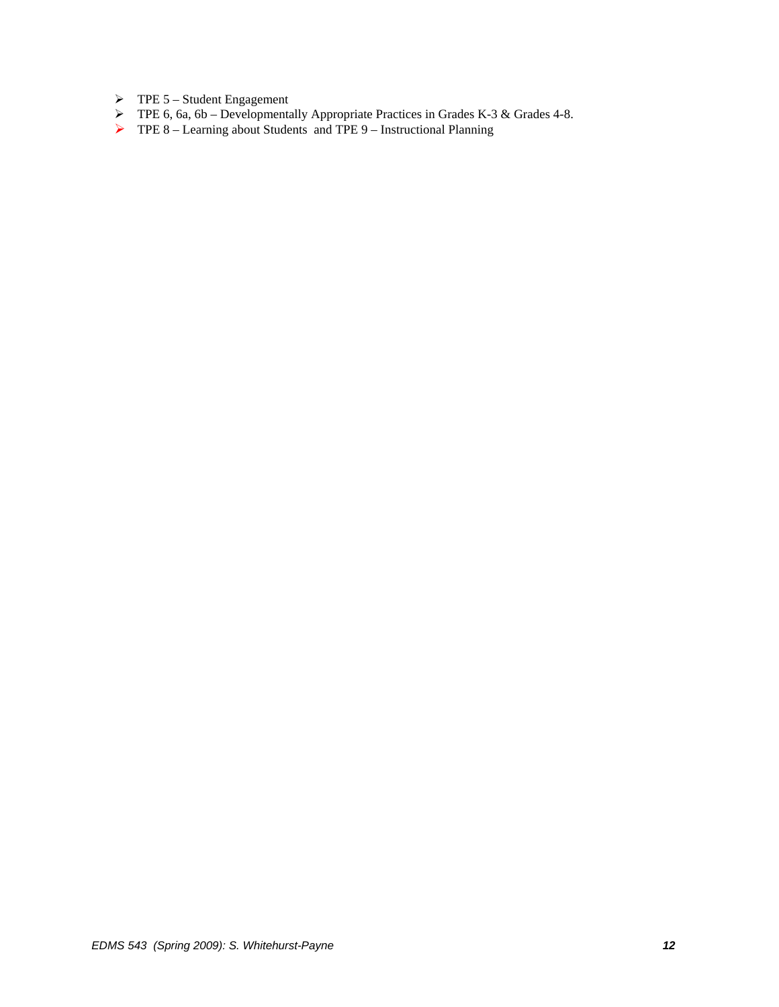- $\triangleright$  TPE 5 Student Engagement
- $\triangleright$  TPE 6, 6a, 6b Developmentally Appropriate Practices in Grades K-3 & Grades 4-8.
- $\triangleright$  TPE 8 Learning about Students and TPE 9 Instructional Planning